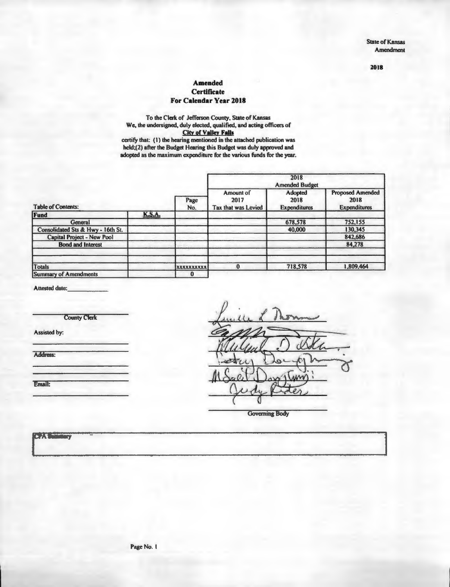State of Kansas **Amendment** 

**2018** 

#### **Amended Certificate For Calendar Year 2018**

To the Clerk of Jefferson County, State of Kansas We, the undersigned, duly elected, qualified, and acting officers of City **of Valley Falls**  certify that: (1) the hearing mentioned in the attached publication was

held;(2) after the Budget Hearing this Budget was duly approved and adopted as the maximum expenditure for the various funds for the year.

| <b>Table of Contents:</b>         |               | Page<br>No.       | Amount of<br>2017<br>Tax that was Levied | Adopted<br>2018<br><b>Expenditures</b> | <b>Proposed Amended</b><br>2018<br><b>Expenditures</b> |
|-----------------------------------|---------------|-------------------|------------------------------------------|----------------------------------------|--------------------------------------------------------|
| Fund                              | <b>K.S.A.</b> |                   |                                          |                                        |                                                        |
| General                           |               |                   |                                          | 678,578                                | 752,155                                                |
| Consolidated Sts & Hwy - 16th St. |               |                   |                                          | 40,000                                 | 130,345                                                |
| <b>Capital Project - New Pool</b> |               |                   |                                          |                                        | 842,686                                                |
| <b>Bond and Interest</b>          |               |                   |                                          |                                        | 84,278                                                 |
| Totals                            |               | <b>XXXXXXXXXX</b> | Ð                                        | 718,578                                | 1,809,464                                              |
| <b>Summary of Amendments</b>      |               | $\bf{0}$          |                                          |                                        |                                                        |

Attested date:

County Clerk

Assisted by:

Address:

Email:

Governing Body

 $\overline{16}$   $\overline{25}$   $\overline{3}$ ٣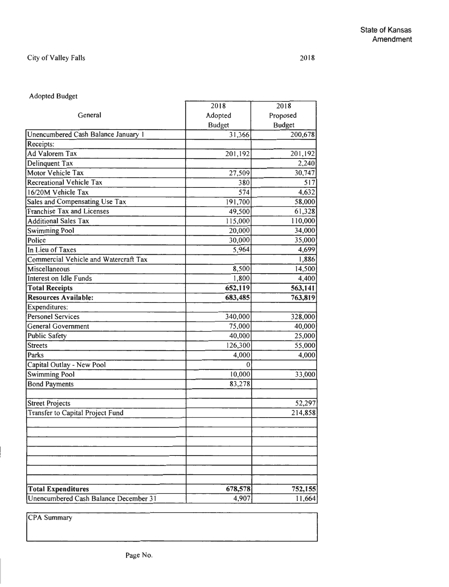# City of Valley Falls

⊣

# Adopted Budget

|                                       | 2018          | 2018          |
|---------------------------------------|---------------|---------------|
| General                               | Adopted       | Proposed      |
|                                       | <b>Budget</b> | <b>Budget</b> |
| Unencumbered Cash Balance January 1   | 31,366        | 200,678       |
| Receipts:                             |               |               |
| <b>Ad Valorem Tax</b>                 | 201,192       | 201,192       |
| Delinquent Tax                        |               | 2,240         |
| Motor Vehicle Tax                     | 27,509        | 30,747        |
| <b>Recreational Vehicle Tax</b>       | 380           | 517           |
| 16/20M Vehicle Tax                    | 574           | 4,632         |
| Sales and Compensating Use Tax        | 191,700       | 58,000        |
| Franchise Tax and Licenses            | 49,500        | 61,328        |
| <b>Additional Sales Tax</b>           | 115,000       | 110,000       |
| <b>Swimming Pool</b>                  | 20,000        | 34,000        |
| Police                                | 30,000        | 35,000        |
| In Lieu of Taxes                      | 5,964         | 4,699         |
| Commercial Vehicle and Watercraft Tax |               | 1,886         |
| Miscellaneous                         | 8,500         | 14,500        |
| Interest on Idle Funds                | 1,800         | 4,400         |
| <b>Total Receipts</b>                 | 652,119       | 563,141       |
| <b>Resources Available:</b>           | 683,485       | 763,819       |
| <b>Expenditures:</b>                  |               |               |
| <b>Personel Services</b>              | 340,000       | 328,000       |
| General Government                    | 75,000        | 40,000        |
| <b>Public Safety</b>                  | 40,000        | 25,000        |
| <b>Streets</b>                        | 126,300       | 55,000        |
| Parks                                 | 4,000         | 4,000         |
| Capital Outlay - New Pool             | $\mathbf{0}$  |               |
| <b>Swimming Pool</b>                  | 10,000        | 33,000        |
| <b>Bond Payments</b>                  | 83,278        |               |
| <b>Street Projects</b>                |               | 52,297        |
| Transfer to Capital Project Fund      |               | 214,858       |
|                                       |               |               |
|                                       |               |               |
|                                       |               |               |
|                                       |               |               |
|                                       |               |               |
| <b>Total Expenditures</b>             | 678,578       | 752,155       |
| Unencumbered Cash Balance December 31 | 4,907         | 11,664        |

**CPA** Summary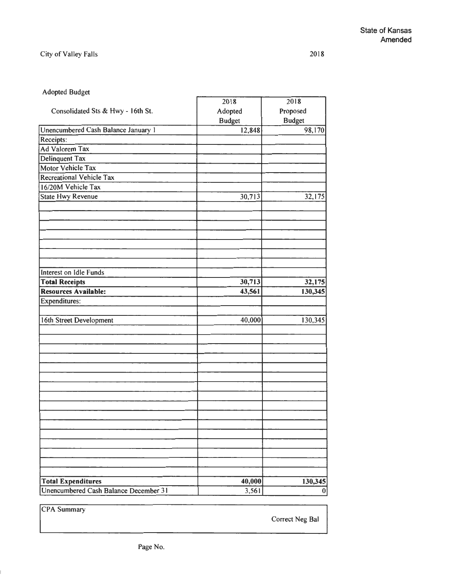2018

# Adopted Budget

|                                       | 2018          | 2018          |
|---------------------------------------|---------------|---------------|
| Consolidated Sts & Hwy - 16th St.     | Adopted       | Proposed      |
|                                       | <b>Budget</b> | <b>Budget</b> |
| Unencumbered Cash Balance January 1   | 12,848        | 98,170        |
| Receipts:                             |               |               |
| Ad Valorem Tax                        |               |               |
| Delinquent Tax                        |               |               |
| <b>Motor Vehicle Tax</b>              |               |               |
| <b>Recreational Vehicle Tax</b>       |               |               |
| 16/20M Vehicle Tax                    |               |               |
| <b>State Hwy Revenue</b>              | 30,713        | 32,175        |
|                                       |               |               |
|                                       |               |               |
|                                       |               |               |
|                                       |               |               |
|                                       |               |               |
|                                       |               |               |
|                                       |               |               |
| Interest on Idle Funds                |               |               |
| <b>Total Receipts</b>                 | 30,713        | 32,175        |
| Resources Available:                  | 43,561        | 130,345       |
| <b>Expenditures:</b>                  |               |               |
|                                       |               |               |
| 16th Street Development               | 40,000        | 130,345       |
|                                       |               |               |
|                                       |               |               |
|                                       |               |               |
|                                       |               |               |
|                                       |               |               |
|                                       |               |               |
|                                       |               |               |
|                                       |               |               |
|                                       |               |               |
|                                       |               |               |
|                                       |               |               |
|                                       |               |               |
|                                       |               |               |
|                                       |               |               |
|                                       |               |               |
|                                       |               |               |
| <b>Total Expenditures</b>             | 40,000        | 130,345       |
| Unencumbered Cash Balance December 31 | 3,561         | $\mathbf{0}$  |
|                                       |               |               |

**ICPA Summary** 

 $\vert$ 

Correct Neg Bal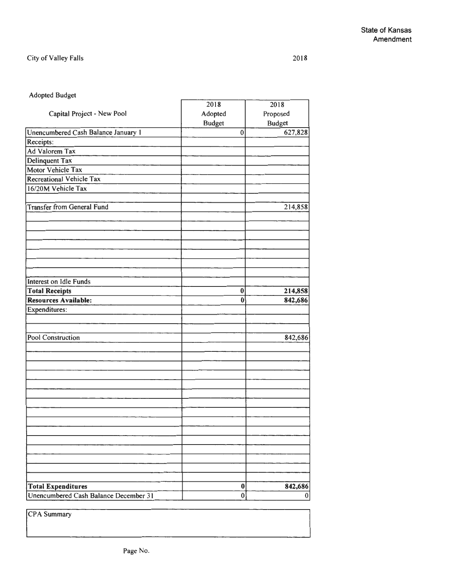### City of Valley Falls

#### Adopted Budget

|                                       | 2018          | 2018          |
|---------------------------------------|---------------|---------------|
| Capital Project - New Pool            | Adopted       | Proposed      |
|                                       | <b>Budget</b> | <b>Budget</b> |
| Unencumbered Cash Balance January 1   | $\bf{0}$      | 627,828       |
| Receipts:                             |               |               |
| Ad Valorem Tax                        |               |               |
| Delinquent Tax                        |               |               |
| Motor Vehicle Tax                     |               |               |
| <b>Recreational Vehicle Tax</b>       |               |               |
| 16/20M Vehicle Tax                    |               |               |
|                                       |               |               |
| <b>Transfer from General Fund</b>     |               | 214,858       |
|                                       |               |               |
|                                       |               |               |
|                                       |               |               |
|                                       |               |               |
|                                       |               |               |
|                                       |               |               |
|                                       |               |               |
| Interest on Idle Funds                |               |               |
| <b>Total Receipts</b>                 | $\bf{0}$      | 214,858       |
| Resources Available:                  | $\bf{0}$      | 842,686       |
| Expenditures:                         |               |               |
|                                       |               |               |
|                                       |               |               |
| Pool Construction                     |               | 842,686       |
|                                       |               |               |
|                                       |               |               |
|                                       |               |               |
|                                       |               |               |
|                                       |               |               |
|                                       |               |               |
|                                       |               |               |
|                                       |               |               |
|                                       |               |               |
|                                       |               |               |
|                                       |               |               |
|                                       |               |               |
|                                       |               |               |
|                                       |               |               |
|                                       |               |               |
| <b>Total Expenditures</b>             | $\bf{0}$      | 842,686       |
| Unencumbered Cash Balance December 31 | $\bf{0}$      | 0             |

CPA Summary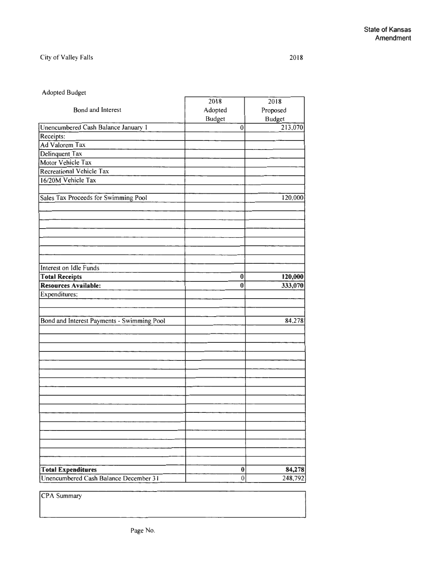# City of Valley Falls

#### Adopted Budget

|                                                                    | 2018                 | 2018              |
|--------------------------------------------------------------------|----------------------|-------------------|
| Bond and Interest                                                  | Adopted              | Proposed          |
|                                                                    | <b>Budget</b>        | <b>Budget</b>     |
| Unencumbered Cash Balance January 1                                | $\boldsymbol{0}$     | 213,070           |
| Receipts:                                                          |                      |                   |
| Ad Valorem Tax                                                     |                      |                   |
| Delinquent Tax                                                     |                      |                   |
| Motor Vehicle Tax                                                  |                      |                   |
| Recreational Vehicle Tax                                           |                      |                   |
| 16/20M Vehicle Tax                                                 |                      |                   |
|                                                                    |                      |                   |
| Sales Tax Proceeds for Swimming Pool                               |                      | 120,000           |
|                                                                    |                      |                   |
|                                                                    |                      |                   |
| Interest on Idle Funds                                             |                      |                   |
| <b>Total Receipts</b>                                              | $\bf{0}$             | 120,000           |
| Resources Available:                                               | $\bf{0}$             | 333,070           |
| Expenditures:                                                      |                      |                   |
| Bond and Interest Payments - Swimming Pool                         |                      | 84,278            |
|                                                                    |                      |                   |
|                                                                    |                      |                   |
|                                                                    |                      |                   |
|                                                                    |                      |                   |
|                                                                    |                      |                   |
|                                                                    |                      |                   |
|                                                                    |                      |                   |
|                                                                    |                      |                   |
|                                                                    |                      |                   |
| <b>Total Expenditures</b><br>Unencumbered Cash Balance December 31 | $\bf{0}$<br>$\bf{0}$ | 84,278<br>248,792 |
|                                                                    |                      |                   |

CPA Summary

2018